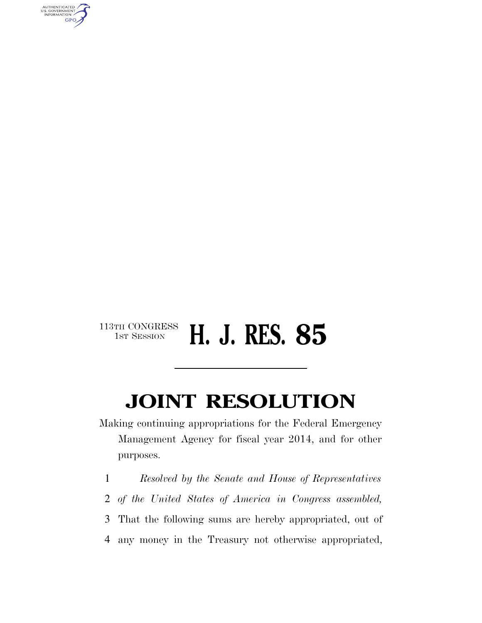

## 113TH CONGRESS<br>1st Session 1ST SESSION **H. J. RES. 85**

## **JOINT RESOLUTION**

Making continuing appropriations for the Federal Emergency Management Agency for fiscal year 2014, and for other purposes.

 *Resolved by the Senate and House of Representatives of the United States of America in Congress assembled,*  That the following sums are hereby appropriated, out of any money in the Treasury not otherwise appropriated,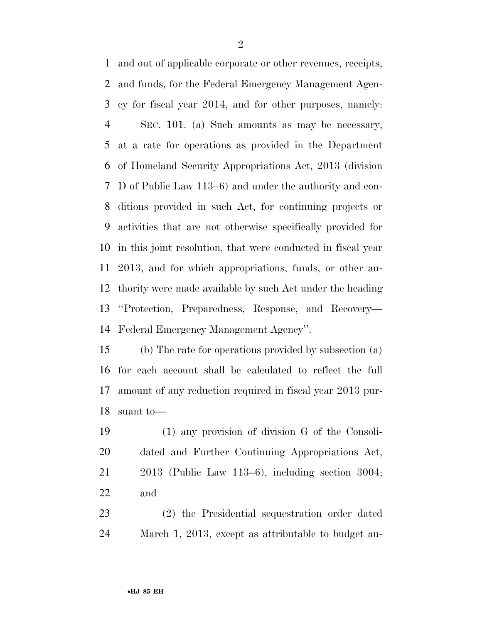and out of applicable corporate or other revenues, receipts, and funds, for the Federal Emergency Management Agen- cy for fiscal year 2014, and for other purposes, namely: SEC. 101. (a) Such amounts as may be necessary, at a rate for operations as provided in the Department of Homeland Security Appropriations Act, 2013 (division D of Public Law 113–6) and under the authority and con- ditions provided in such Act, for continuing projects or activities that are not otherwise specifically provided for in this joint resolution, that were conducted in fiscal year 2013, and for which appropriations, funds, or other au- thority were made available by such Act under the heading ''Protection, Preparedness, Response, and Recovery— Federal Emergency Management Agency''.

 (b) The rate for operations provided by subsection (a) for each account shall be calculated to reflect the full amount of any reduction required in fiscal year 2013 pur-suant to—

 (1) any provision of division G of the Consoli- dated and Further Continuing Appropriations Act, 2013 (Public Law 113–6), including section 3004; and

 (2) the Presidential sequestration order dated March 1, 2013, except as attributable to budget au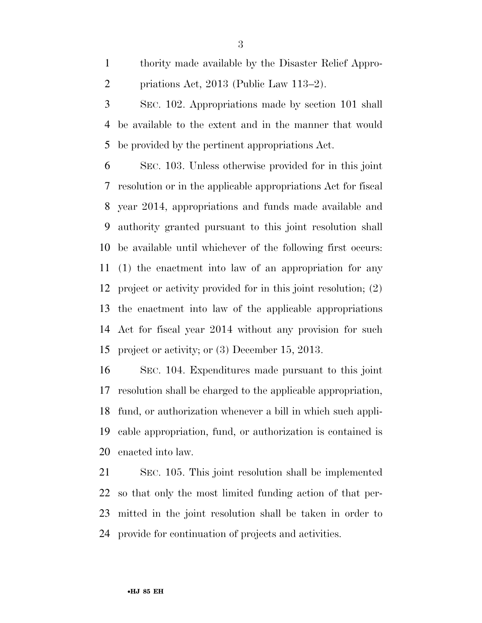thority made available by the Disaster Relief Appro-priations Act, 2013 (Public Law 113–2).

 SEC. 102. Appropriations made by section 101 shall be available to the extent and in the manner that would be provided by the pertinent appropriations Act.

 SEC. 103. Unless otherwise provided for in this joint resolution or in the applicable appropriations Act for fiscal year 2014, appropriations and funds made available and authority granted pursuant to this joint resolution shall be available until whichever of the following first occurs: (1) the enactment into law of an appropriation for any project or activity provided for in this joint resolution; (2) the enactment into law of the applicable appropriations Act for fiscal year 2014 without any provision for such project or activity; or (3) December 15, 2013.

 SEC. 104. Expenditures made pursuant to this joint resolution shall be charged to the applicable appropriation, fund, or authorization whenever a bill in which such appli- cable appropriation, fund, or authorization is contained is enacted into law.

 SEC. 105. This joint resolution shall be implemented so that only the most limited funding action of that per- mitted in the joint resolution shall be taken in order to provide for continuation of projects and activities.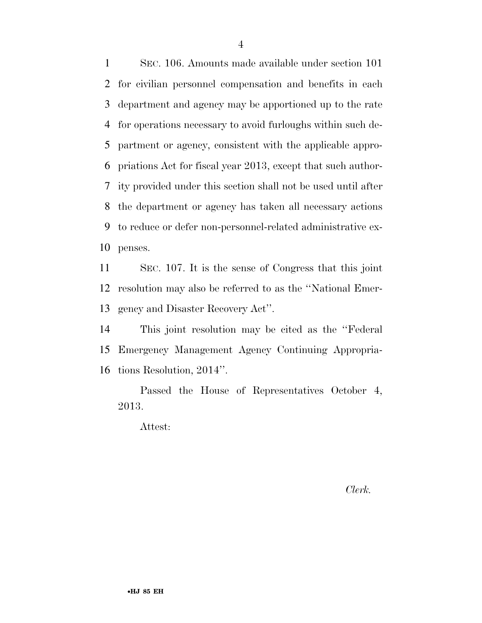SEC. 106. Amounts made available under section 101 for civilian personnel compensation and benefits in each department and agency may be apportioned up to the rate for operations necessary to avoid furloughs within such de- partment or agency, consistent with the applicable appro- priations Act for fiscal year 2013, except that such author- ity provided under this section shall not be used until after the department or agency has taken all necessary actions to reduce or defer non-personnel-related administrative ex-penses.

 SEC. 107. It is the sense of Congress that this joint resolution may also be referred to as the ''National Emer-gency and Disaster Recovery Act''.

 This joint resolution may be cited as the ''Federal Emergency Management Agency Continuing Appropria-tions Resolution, 2014''.

Passed the House of Representatives October 4, 2013.

Attest:

*Clerk.*